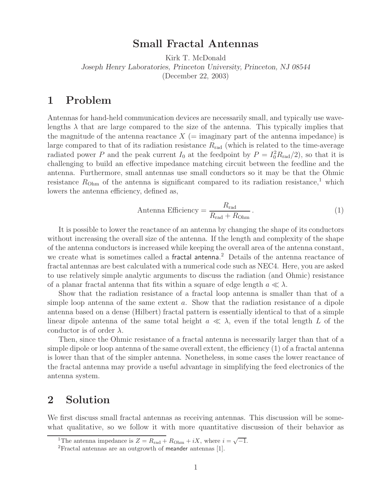# **Small Fractal Antennas**

Kirk T. McDonald *Joseph Henry Laboratories, Princeton University, Princeton, NJ 08544* (December 22, 2003)

# **1 Problem**

Antennas for hand-held communication devices are necessarily small, and typically use wavelengths  $\lambda$  that are large compared to the size of the antenna. This typically implies that the magnitude of the antenna reactance  $X$  (= imaginary part of the antenna impedance) is large compared to that of its radiation resistance  $R_{\text{rad}}$  (which is related to the time-average radiated power P and the peak current  $I_0$  at the feedpoint by  $P = I_0^2 R_{rad}/2$ , so that it is challenging to build an effective impedance matching circuit between the feedline and the antenna. Furthermore, small antennas use small conductors so it may be that the Ohmic resistance  $R_{\text{Ohm}}$  of the antenna is significant compared to its radiation resistance,<sup>1</sup> which lowers the antenna efficiency, defined as,

Antenna Efficiency = 
$$
\frac{R_{\text{rad}}}{R_{\text{rad}} + R_{\text{Ohm}}}.
$$
 (1)

It is possible to lower the reactance of an antenna by changing the shape of its conductors without increasing the overall size of the antenna. If the length and complexity of the shape of the antenna conductors is increased while keeping the overall area of the antenna constant, we create what is sometimes called a fractal antenna. <sup>2</sup> Details of the antenna reactance of fractal antennas are best calculated with a numerical code such as NEC4. Here, you are asked to use relatively simple analytic arguments to discuss the radiation (and Ohmic) resistance of a planar fractal antenna that fits within a square of edge length  $a \ll \lambda$ .

Show that the radiation resistance of a fractal loop antenna is smaller than that of a simple loop antenna of the same extent a. Show that the radiation resistance of a dipole antenna based on a dense (Hilbert) fractal pattern is essentially identical to that of a simple linear dipole antenna of the same total height  $a \ll \lambda$ , even if the total length L of the conductor is of order  $\lambda$ .

Then, since the Ohmic resistance of a fractal antenna is necessarily larger than that of a simple dipole or loop antenna of the same overall extent, the efficiency (1) of a fractal antenna is lower than that of the simpler antenna. Nonetheless, in some cases the lower reactance of the fractal antenna may provide a useful advantage in simplifying the feed electronics of the antenna system.

# **2 Solution**

We first discuss small fractal antennas as receiving antennas. This discussion will be somewhat qualitative, so we follow it with more quantitative discussion of their behavior as

<sup>&</sup>lt;sup>1</sup>The antenna impedance is  $Z = R_{rad} + R_{Ohm} + iX$ , where  $i = \sqrt{-1}$ .

<sup>2</sup>Fractal antennas are an outgrowth of meander antennas [1].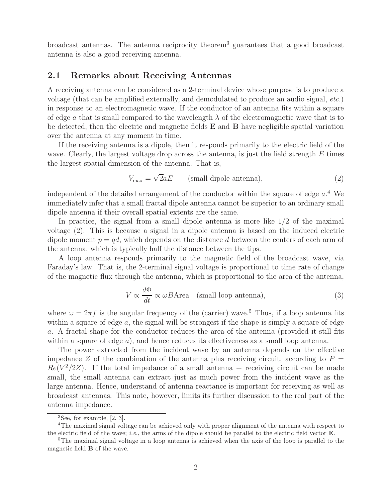broadcast antennas. The antenna reciprocity theorem<sup>3</sup> guarantees that a good broadcast antenna is also a good receiving antenna.

### **2.1 Remarks about Receiving Antennas**

A receiving antenna can be considered as a 2-terminal device whose purpose is to produce a voltage (that can be amplified externally, and demodulated to produce an audio signal, *etc.*) in response to an electromagnetic wave. If the conductor of an antenna fits within a square of edge a that is small compared to the wavelength  $\lambda$  of the electromagnetic wave that is to be detected, then the electric and magnetic fields **E** and **B** have negligible spatial variation over the antenna at any moment in time.

If the receiving antenna is a dipole, then it responds primarily to the electric field of the wave. Clearly, the largest voltage drop across the antenna, is just the field strength  $E$  times the largest spatial dimension of the antenna. That is,

$$
V_{\text{max}} = \sqrt{2}aE \qquad \text{(small dipole antenna)}, \tag{2}
$$

independent of the detailed arrangement of the conductor within the square of edge  $a<sup>4</sup>$  We immediately infer that a small fractal dipole antenna cannot be superior to an ordinary small dipole antenna if their overall spatial extents are the same.

In practice, the signal from a small dipole antenna is more like  $1/2$  of the maximal voltage (2). This is because a signal in a dipole antenna is based on the induced electric dipole moment  $p = qd$ , which depends on the distance d between the centers of each arm of the antenna, which is typically half the distance between the tips.

A loop antenna responds primarily to the magnetic field of the broadcast wave, via Faraday's law. That is, the 2-terminal signal voltage is proportional to time rate of change of the magnetic flux through the antenna, which is proportional to the area of the antenna,

$$
V \propto \frac{d\Phi}{dt} \propto \omega B \text{Area} \quad \text{(small loop antenna)},\tag{3}
$$

where  $\omega = 2\pi f$  is the angular frequency of the (carrier) wave.<sup>5</sup> Thus, if a loop antenna fits within a square of edge  $a$ , the signal will be strongest if the shape is simply a square of edge a. A fractal shape for the conductor reduces the area of the antenna (provided it still fits within a square of edge  $a$ ), and hence reduces its effectiveness as a small loop antenna.

The power extracted from the incident wave by an antenna depends on the effective impedance Z of the combination of the antenna plus receiving circuit, according to  $P =$  $Re(V^2/2Z)$ . If the total impedance of a small antenna + receiving circuit can be made small, the small antenna can extract just as much power from the incident wave as the large antenna. Hence, understand of antenna reactance is important for receiving as well as broadcast antennas. This note, however, limits its further discussion to the real part of the antenna impedance.

 ${}^{3}$ See, for example, [2, 3].

<sup>4</sup>The maximal signal voltage can be achieved only with proper alignment of the antenna with respect to the electric field of the wave; *i.e.*, the arms of the dipole should be parallel to the electric field vector **E**.<br><sup>5</sup>The maximal signal voltage in a loop antenna is achieved when the axis of the loop is parallel to the

magnetic field **B** of the wave.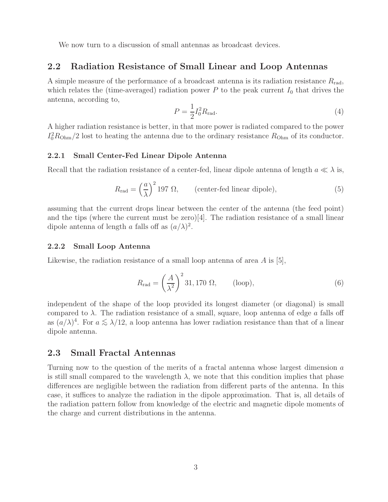We now turn to a discussion of small antennas as broadcast devices.

#### **2.2 Radiation Resistance of Small Linear and Loop Antennas**

A simple measure of the performance of a broadcast antenna is its radiation resistance  $R_{\text{rad}}$ , which relates the (time-averaged) radiation power  $P$  to the peak current  $I_0$  that drives the antenna, according to,

$$
P = \frac{1}{2}I_0^2 R_{\text{rad}}.\tag{4}
$$

A higher radiation resistance is better, in that more power is radiated compared to the power  $I_0^2 R_{\text{Ohm}}/2$  lost to heating the antenna due to the ordinary resistance  $R_{\text{Ohm}}$  of its conductor.

#### **2.2.1 Small Center-Fed Linear Dipole Antenna**

Recall that the radiation resistance of a center-fed, linear dipole antenna of length  $a \ll \lambda$  is,

$$
R_{\rm rad} = \left(\frac{a}{\lambda}\right)^2 197 \ \Omega, \qquad \text{(center-field linear dipole)}, \tag{5}
$$

assuming that the current drops linear between the center of the antenna (the feed point) and the tips (where the current must be zero)[4]. The radiation resistance of a small linear dipole antenna of length a falls off as  $(a/\lambda)^2$ .

#### **2.2.2 Small Loop Antenna**

Likewise, the radiation resistance of a small loop antenna of area  $A$  is [5],

$$
R_{\rm rad} = \left(\frac{A}{\lambda^2}\right)^2 31,170 \ \Omega,\qquad \text{(loop)},\tag{6}
$$

independent of the shape of the loop provided its longest diameter (or diagonal) is small compared to  $\lambda$ . The radiation resistance of a small, square, loop antenna of edge a falls off as  $(a/\lambda)^4$ . For  $a \leq \lambda/12$ , a loop antenna has lower radiation resistance than that of a linear dipole antenna.

## **2.3 Small Fractal Antennas**

Turning now to the question of the merits of a fractal antenna whose largest dimension a is still small compared to the wavelength  $\lambda$ , we note that this condition implies that phase differences are negligible between the radiation from different parts of the antenna. In this case, it suffices to analyze the radiation in the dipole approximation. That is, all details of the radiation pattern follow from knowledge of the electric and magnetic dipole moments of the charge and current distributions in the antenna.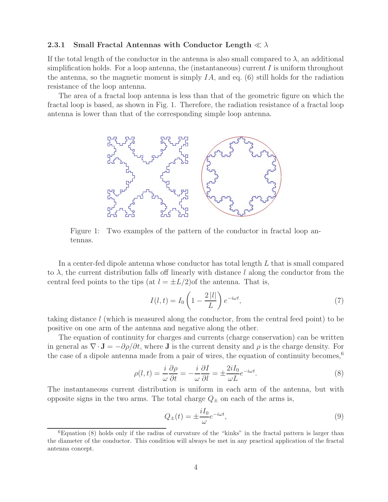## **2.3.1 Small Fractal Antennas with Conductor Length**  $\ll \lambda$

If the total length of the conductor in the antenna is also small compared to  $\lambda$ , an additional simplification holds. For a loop antenna, the (instantaneous) current  $I$  is uniform throughout the antenna, so the magnetic moment is simply  $IA$ , and eq. (6) still holds for the radiation resistance of the loop antenna.

The area of a fractal loop antenna is less than that of the geometric figure on which the fractal loop is based, as shown in Fig. 1. Therefore, the radiation resistance of a fractal loop antenna is lower than that of the corresponding simple loop antenna.



Figure 1: Two examples of the pattern of the conductor in fractal loop antennas.

In a center-fed dipole antenna whose conductor has total length L that is small compared to  $\lambda$ , the current distribution falls off linearly with distance l along the conductor from the central feed points to the tips (at  $l = \pm L/2$ ) of the antenna. That is,

$$
I(l,t) = I_0 \left( 1 - \frac{2|l|}{L} \right) e^{-i\omega t},\tag{7}
$$

taking distance l (which is measured along the conductor, from the central feed point) to be positive on one arm of the antenna and negative along the other.

The equation of continuity for charges and currents (charge conservation) can be written in general as  $\nabla \cdot \mathbf{J} = -\partial \rho/\partial t$ , where **J** is the current density and  $\rho$  is the charge density. For the case of a dipole antenna made from a pair of wires, the equation of continuity becomes,<sup>6</sup>

$$
\rho(l,t) = \frac{i}{\omega} \frac{\partial \rho}{\partial t} = -\frac{i}{\omega} \frac{\partial I}{\partial l} = \pm \frac{2iI_0}{\omega L} e^{-i\omega t}.
$$
\n(8)

The instantaneous current distribution is uniform in each arm of the antenna, but with opposite signs in the two arms. The total charge  $Q_{\pm}$  on each of the arms is,

$$
Q_{\pm}(t) = \pm \frac{iI_0}{\omega} e^{-i\omega t},\tag{9}
$$

 ${}^{6}$ Equation (8) holds only if the radius of curvature of the "kinks" in the fractal pattern is larger than the diameter of the conductor. This condition will always be met in any practical application of the fractal antenna concept.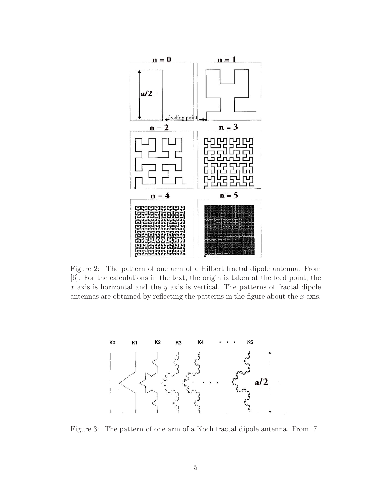

Figure 2: The pattern of one arm of a Hilbert fractal dipole antenna. From [6]. For the calculations in the text, the origin is taken at the feed point, the  $x$  axis is horizontal and the  $y$  axis is vertical. The patterns of fractal dipole antennas are obtained by reflecting the patterns in the figure about the  $x$  axis.



Figure 3: The pattern of one arm of a Koch fractal dipole antenna. From [7].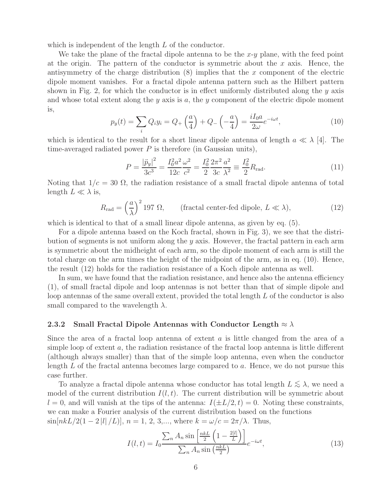which is independent of the length L of the conductor.

We take the plane of the fractal dipole antenna to be the  $x-y$  plane, with the feed point at the origin. The pattern of the conductor is symmetric about the  $x$  axis. Hence, the antisymmetry of the charge distribution  $(8)$  implies that the x component of the electric dipole moment vanishes. For a fractal dipole antenna pattern such as the Hilbert pattern shown in Fig. 2, for which the conductor is in effect uniformly distributed along the  $y$  axis and whose total extent along the y axis is a, the y component of the electric dipole moment is,

$$
p_y(t) = \sum_i Q_i y_i = Q_+ \left(\frac{a}{4}\right) + Q_- \left(-\frac{a}{4}\right) = \frac{iI_0 a}{2\omega} e^{-i\omega t},\tag{10}
$$

which is identical to the result for a short linear dipole antenna of length  $a \ll \lambda$  [4]. The time-averaged radiated power  $P$  is therefore (in Gaussian units),

$$
P = \frac{|\ddot{p}_y|^2}{3c^3} = \frac{I_0^2 a^2 \omega^2}{12c \ c^2} = \frac{I_0^2}{2} \frac{2\pi^2 a^2}{3c \ \lambda^2} \equiv \frac{I_0^2}{2} R_{\text{rad}}.
$$
 (11)

Noting that  $1/c = 30 \Omega$ , the radiation resistance of a small fractal dipole antenna of total length  $L \ll \lambda$  is,

$$
R_{\rm rad} = \left(\frac{a}{\lambda}\right)^2 197 \ \Omega, \qquad \text{(fractal center-field dipole, } L \ll \lambda), \tag{12}
$$

which is identical to that of a small linear dipole antenna, as given by eq. (5).

For a dipole antenna based on the Koch fractal, shown in Fig. 3), we see that the distribution of segments is not uniform along the  $y$  axis. However, the fractal pattern in each arm is symmetric about the midheight of each arm, so the dipole moment of each arm is still the total charge on the arm times the height of the midpoint of the arm, as in eq. (10). Hence, the result (12) holds for the radiation resistance of a Koch dipole antenna as well.

In sum, we have found that the radiation resistance, and hence also the antenna efficiency (1), of small fractal dipole and loop antennas is not better than that of simple dipole and loop antennas of the same overall extent, provided the total length L of the conductor is also small compared to the wavelength  $\lambda$ .

#### **2.3.2 Small Fractal Dipole Antennas with Conductor Length** ≈ λ

Since the area of a fractal loop antenna of extent  $a$  is little changed from the area of a simple loop of extent  $a$ , the radiation resistance of the fractal loop antenna is little different (although always smaller) than that of the simple loop antenna, even when the conductor length L of the fractal antenna becomes large compared to a. Hence, we do not pursue this case further.

To analyze a fractal dipole antenna whose conductor has total length  $L \lesssim \lambda$ , we need a model of the current distribution  $I(l, t)$ . The current distribution will be symmetric about  $l = 0$ , and will vanish at the tips of the antenna:  $I(\pm L/2, t) = 0$ . Noting these constraints, we can make a Fourier analysis of the current distribution based on the functions  $\sin[nkL/2(1-2|l|/L)], n = 1, 2, 3,...,$  where  $k = \omega/c = 2\pi/\lambda$ . Thus,

$$
I(l,t) = I_0 \frac{\sum_n A_n \sin\left[\frac{n\kappa L}{2}\left(1 - \frac{2|l|}{L}\right)\right]}{\sum_n A_n \sin\left(\frac{n\kappa L}{2}\right)} e^{-i\omega t},\tag{13}
$$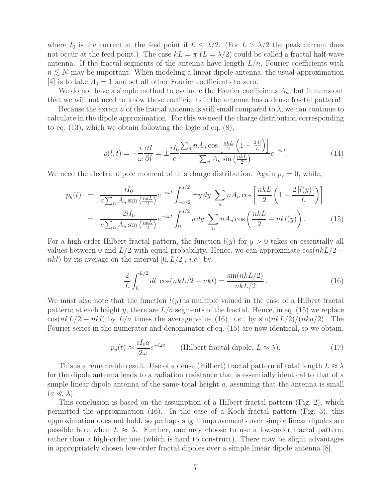where  $I_0$  is the current at the feed point if  $L \leq \lambda/2$ . (For  $L > \lambda/2$  the peak current does not occur at the feed point.) The case  $kL = \pi (L = \lambda/2)$  could be called a fractal half-wave antenna. If the fractal segments of the antenna have length  $L/n$ , Fourier coefficients with  $n \lesssim N$  may be important. When modeling a linear dipole antenna, the usual approximation [4] is to take  $A_1 = 1$  and set all other Fourier coefficients to zero.

We do not have a simple method to evaluate the Fourier coefficients  $A_n$ , but it turns out that we will not need to know these coefficients if the antenna has a dense fractal pattern!

Because the extent a of the fractal antenna is still small compared to  $\lambda$ , we can continue to calculate in the dipole approximation. For this we need the charge distribution corresponding to eq. (13), which we obtain following the logic of eq. (8),

$$
\rho(l,t) = -\frac{i}{\omega} \frac{\partial I}{\partial l} = \pm \frac{iI_0}{c} \frac{\sum_n nA_n \cos\left[\frac{n\kappa L}{2}\left(1 - \frac{2|l|}{L}\right)\right]}{\sum_n A_n \sin\left(\frac{n\kappa L}{2}\right)} e^{-i\omega t}.
$$
(14)

We need the electric dipole moment of this charge distribution. Again  $p_x = 0$ , while,

$$
p_y(t) = \frac{iI_0}{c\sum_n A_n \sin\left(\frac{nkL}{2}\right)} e^{-i\omega t} \int_{-a/2}^{a/2} \pm y \, dy \sum_n nA_n \cos\left[\frac{nkL}{2}\left(1 - \frac{2|l(y)|}{L}\right)\right]
$$

$$
= \frac{2iI_0}{c\sum_n A_n \sin\left(\frac{nkL}{2}\right)} e^{-i\omega t} \int_0^{a/2} y \, dy \sum_n nA_n \cos\left(\frac{nkL}{2} - nkl(y)\right). \tag{15}
$$

For a high-order Hilbert fractal pattern, the function  $l(y)$  for  $y > 0$  takes on essentially all values between 0 and  $L/2$  with equal probability. Hence, we can approximate  $\cos(nkL/2$ *nkl*) by its average on the interval  $[0, L/2]$ , *i.e.*, by,

$$
\frac{2}{L} \int_0^{L/2} dl \cos(nkL/2 - nkl) = \frac{\sin(nkL/2)}{nkL/2}.
$$
\n(16)

We must also note that the function  $l(y)$  is multiple valued in the case of a Hilbert fractal pattern; at each height y, there are  $L/a$  segments of the fractal. Hence, in eq. (15) we replace  $\cos(nkL/2 - nkl)$  by  $L/a$  times the average value (16), *i.e.*, by  $\sin(nkL/2)/(nka/2)$ . The Fourier series in the numerator and denominator of eq. (15) are now identical, so we obtain,

$$
p_y(t) \approx \frac{iI_0 a}{2\omega} e^{-i\omega t}
$$
 (Hilbert fractal dipole,  $L \approx \lambda$ ). (17)

This is a remarkable result. Use of a dense (Hilbert) fractal pattern of total length  $L \approx \lambda$ for the dipole antenna leads to a radiation resistance that is essentially identical to that of a simple linear dipole antenna of the same total height  $a$ , assuming that the antenna is small  $(a \ll \lambda).$ 

This conclusion is based on the assumption of a Hilbert fractal pattern (Fig. 2), which permitted the approximation (16). In the case of a Koch fractal pattern (Fig. 3), this approximation does not hold, so perhaps slight improvements over simple linear dipoles are possible here when  $L \approx \lambda$ . Further, one may choose to use a low-order fractal pattern, rather than a high-order one (which is hard to construct). There may be slight advantages in appropriately chosen low-order fractal dipoles over a simple linear dipole antenna [8].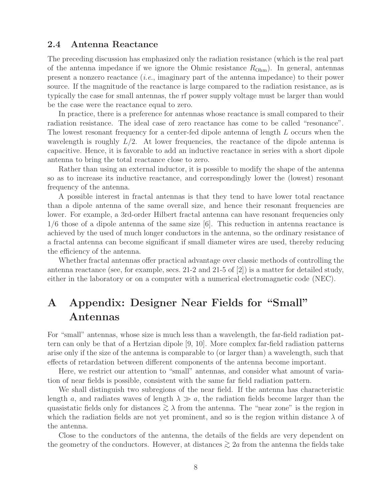### **2.4 Antenna Reactance**

The preceding discussion has emphasized only the radiation resistance (which is the real part of the antenna impedance if we ignore the Ohmic resistance  $R_{\text{Ohm}}$ ). In general, antennas present a nonzero reactance (*i.e.*, imaginary part of the antenna impedance) to their power source. If the magnitude of the reactance is large compared to the radiation resistance, as is typically the case for small antennas, the rf power supply voltage must be larger than would be the case were the reactance equal to zero.

In practice, there is a preference for antennas whose reactance is small compared to their radiation resistance. The ideal case of zero reactance has come to be called "resonance". The lowest resonant frequency for a center-fed dipole antenna of length L occurs when the wavelength is roughly  $L/2$ . At lower frequencies, the reactance of the dipole antenna is capacitive. Hence, it is favorable to add an inductive reactance in series with a short dipole antenna to bring the total reactance close to zero.

Rather than using an external inductor, it is possible to modify the shape of the antenna so as to increase its inductive reactance, and correspondingly lower the (lowest) resonant frequency of the antenna.

A possible interest in fractal antennas is that they tend to have lower total reactance than a dipole antenna of the same overall size, and hence their resonant frequencies are lower. For example, a 3rd-order Hilbert fractal antenna can have resonant frequencies only 1/6 those of a dipole antenna of the same size [6]. This reduction in antenna reactance is achieved by the used of much longer conductors in the antenna, so the ordinary resistance of a fractal antenna can become significant if small diameter wires are used, thereby reducing the efficiency of the antenna.

Whether fractal antennas offer practical advantage over classic methods of controlling the antenna reactance (see, for example, secs. 21-2 and 21-5 of [2]) is a matter for detailed study, either in the laboratory or on a computer with a numerical electromagnetic code (NEC).

# **A Appendix: Designer Near Fields for "Small" Antennas**

For "small" antennas, whose size is much less than a wavelength, the far-field radiation pattern can only be that of a Hertzian dipole [9, 10]. More complex far-field radiation patterns arise only if the size of the antenna is comparable to (or larger than) a wavelength, such that effects of retardation between different components of the antenna become important.

Here, we restrict our attention to "small" antennas, and consider what amount of variation of near fields is possible, consistent with the same far field radiation pattern.

We shall distinguish two subregions of the near field. If the antenna has characteristic length a, and radiates waves of length  $\lambda \gg a$ , the radiation fields become larger than the quasistatic fields only for distances  $\gtrsim \lambda$  from the antenna. The "near zone" is the region in which the radiation fields are not yet prominent, and so is the region within distance  $\lambda$  of the antenna.

Close to the conductors of the antenna, the details of the fields are very dependent on the geometry of the conductors. However, at distances  $\geq 2a$  from the antenna the fields take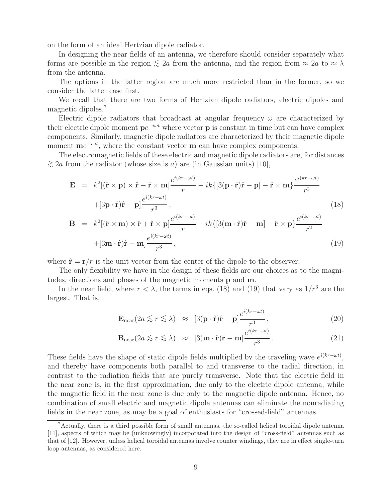on the form of an ideal Hertzian dipole radiator.

In designing the near fields of an antenna, we therefore should consider separately what forms are possible in the region  $\leq 2a$  from the antenna, and the region from  $\approx 2a$  to  $\approx \lambda$ from the antenna.

The options in the latter region are much more restricted than in the former, so we consider the latter case first.

We recall that there are two forms of Hertzian dipole radiators, electric dipoles and magnetic dipoles.<sup>7</sup>

Electric dipole radiators that broadcast at angular frequency  $\omega$  are characterized by their electric dipole moment  $pe^{-i\omega t}$  where vector **p** is constant in time but can have complex components. Similarly, magnetic dipole radiators are characterized by their magnetic dipole moment **m**e<sup>−*iωt*</sup>, where the constant vector **m** can have complex components.

The electromagnetic fields of these electric and magnetic dipole radiators are, for distances  $\gtrsim$  2a from the radiator (whose size is a) are (in Gaussian units) [10],

$$
\mathbf{E} = k^2 [(\hat{\mathbf{r}} \times \mathbf{p}) \times \hat{\mathbf{r}} - \hat{\mathbf{r}} \times \mathbf{m}] \frac{e^{i(kr - \omega t)}}{r} - ik \{ [3(\mathbf{p} \cdot \hat{\mathbf{r}}) \hat{\mathbf{r}} - \mathbf{p}] - \hat{\mathbf{r}} \times \mathbf{m} \} \frac{e^{i(kr - \omega t)}}{r^2} + [3\mathbf{p} \cdot \hat{\mathbf{r}}) \hat{\mathbf{r}} - \mathbf{p} \frac{e^{i(kr - \omega t)}}{r^3},
$$
\n(18)

$$
\mathbf{B} = k^2 [(\hat{\mathbf{r}} \times \mathbf{m}) \times \hat{\mathbf{r}} + \hat{\mathbf{r}} \times \mathbf{p}] \frac{e^{i(kr - \omega t)}}{r} - ik \{ [3(\mathbf{m} \cdot \hat{\mathbf{r}}) \hat{\mathbf{r}} - \mathbf{m}] - \hat{\mathbf{r}} \times \mathbf{p} \} \frac{e^{i(kr - \omega t)}}{r^2} + [3\mathbf{m} \cdot \hat{\mathbf{r}}) \hat{\mathbf{r}} - \mathbf{m} \frac{e^{i(kr - \omega t)}}{r^3}, \qquad (19)
$$

where  $\hat{\mathbf{r}} = \mathbf{r}/r$  is the unit vector from the center of the dipole to the observer,

The only flexibility we have in the design of these fields are our choices as to the magnitudes, directions and phases of the magnetic moments **p** and **m**.

In the near field, where  $r < \lambda$ , the terms in eqs. (18) and (19) that vary as  $1/r^3$  are the largest. That is,

$$
\mathbf{E}_{\text{near}}(2a \lesssim r \lesssim \lambda) \quad \approx \quad [3(\mathbf{p} \cdot \hat{\mathbf{r}})\hat{\mathbf{r}} - \mathbf{p}] \frac{e^{i(kr - \omega t)}}{r^3},\tag{20}
$$

$$
\mathbf{B}_{\text{near}}(2a \lesssim r \lesssim \lambda) \quad \approx \quad [3(\mathbf{m} \cdot \hat{\mathbf{r}})\hat{\mathbf{r}} - \mathbf{m}] \frac{e^{i(kr - \omega t)}}{r^3} \,. \tag{21}
$$

These fields have the shape of static dipole fields multiplied by the traveling wave  $e^{i(kr-\omega t)}$ , and thereby have components both parallel to and transverse to the radial direction, in contrast to the radiation fields that are purely transverse. Note that the electric field in the near zone is, in the first approximation, due only to the electric dipole antenna, while the magnetic field in the near zone is due only to the magnetic dipole antenna. Hence, no combination of small electric and magnetic dipole antennas can eliminate the nonradiating fields in the near zone, as may be a goal of enthusiasts for "crossed-field" antennas.

<sup>7</sup>Actually, there is a third possible form of small antennas, the so-called helical toroidal dipole antenna [11], aspects of which may be (unknowingly) incorporated into the design of "cross-field" antennas such as that of [12]. However, unless helical toroidal antennas involve counter windings, they are in effect single-turn loop antennas, as considered here.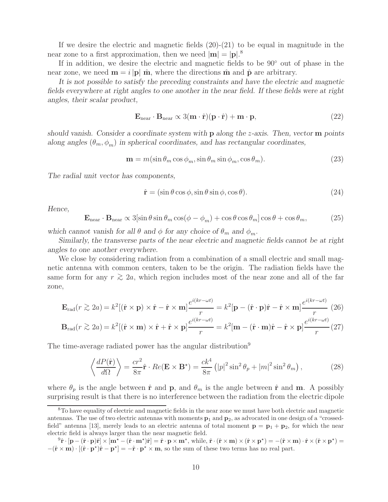If we desire the electric and magnetic fields  $(20)-(21)$  to be equal in magnitude in the near zone to a first approximation, then we need  $|\mathbf{m}| = |\mathbf{p}|^{8}$ .

If in addition, we desire the electric and magnetic fields to be 90◦ out of phase in the near zone, we need  $\mathbf{m} = i |\mathbf{p}| \hat{\mathbf{m}}$ , where the directions  $\hat{\mathbf{m}}$  and  $\hat{\mathbf{p}}$  are arbitrary.

*It is not possible to satisfy the preceding constraints and have the electric and magnetic fields everywhere at right angles to one another in the near field. If these fields were at right angles, their scalar product,*

$$
\mathbf{E}_{\text{near}} \cdot \mathbf{B}_{\text{near}} \propto 3(\mathbf{m} \cdot \hat{\mathbf{r}})(\mathbf{p} \cdot \hat{\mathbf{r}}) + \mathbf{m} \cdot \mathbf{p},\tag{22}
$$

*should vanish. Consider a coordinate system with* **p** *along the* z*-axis. Then, vector* **m** *points along angles*  $(\theta_m, \phi_m)$  *in spherical coordinates, and has rectangular coordinates,* 

$$
\mathbf{m} = m(\sin \theta_m \cos \phi_m, \sin \theta_m \sin \phi_m, \cos \theta_m). \tag{23}
$$

*The radial unit vector has components,*

$$
\hat{\mathbf{r}} = (\sin \theta \cos \phi, \sin \theta \sin \phi, \cos \theta). \tag{24}
$$

*Hence,*

$$
\mathbf{E}_{\text{near}} \cdot \mathbf{B}_{\text{near}} \propto 3[\sin \theta \sin \theta_m \cos(\phi - \phi_m) + \cos \theta \cos \theta_m] \cos \theta + \cos \theta_m, \tag{25}
$$

*which cannot vanish for all*  $\theta$  *and*  $\phi$  *for any choice of*  $\theta_m$  *and*  $\phi_m$ *.* 

*Similarly, the transverse parts of the near electric and magnetic fields cannot be at right angles to one another everywhere.*

We close by considering radiation from a combination of a small electric and small magnetic antenna with common centers, taken to be the origin. The radiation fields have the same form for any  $r \gtrsim 2a$ , which region includes most of the near zone and all of the far zone,

$$
\mathbf{E}_{\text{rad}}(r \gtrsim 2a) = k^2 [(\hat{\mathbf{r}} \times \mathbf{p}) \times \hat{\mathbf{r}} - \hat{\mathbf{r}} \times \mathbf{m}] \frac{e^{i(kr - \omega t)}}{r} = k^2 [\mathbf{p} - (\hat{\mathbf{r}} \cdot \mathbf{p}) \hat{\mathbf{r}} - \hat{\mathbf{r}} \times \mathbf{m}] \frac{e^{i(kr - \omega t)}}{r} \tag{26}
$$
  

$$
\mathbf{B}_{\text{rad}}(r \gtrsim 2a) = k^2 [(\hat{\mathbf{r}} \times \mathbf{m}) \times \hat{\mathbf{r}} + \hat{\mathbf{r}} \times \mathbf{p}] \frac{e^{i(kr - \omega t)}}{r} = k^2 [\mathbf{m} - (\hat{\mathbf{r}} \cdot \mathbf{m}) \hat{\mathbf{r}} - \hat{\mathbf{r}} \times \mathbf{p}] \frac{e^{i(kr - \omega t)}}{r} \tag{27}
$$

The time-average radiated power has the angular distribution<sup>9</sup>

$$
\left\langle \frac{dP(\hat{\mathbf{r}})}{d\Omega} \right\rangle = \frac{cr^2}{8\pi} \hat{\mathbf{r}} \cdot Re(\mathbf{E} \times \mathbf{B}^*) = \frac{ck^4}{8\pi} \left( |p|^2 \sin^2 \theta_p + |m|^2 \sin^2 \theta_m \right),\tag{28}
$$

where  $\theta_p$  is the angle between  $\hat{\mathbf{r}}$  and  $\mathbf{p}$ , and  $\theta_m$  is the angle between  $\hat{\mathbf{r}}$  and  $\mathbf{m}$ . A possibly surprising result is that there is no interference between the radiation from the electric dipole

<sup>8</sup>To have equality of electric and magnetic fields in the near zone we must have both electric and magnetic antennas. The use of two electric antennas with moments **p**<sup>1</sup> and **p**2, as advocated in one design of a "crossedfield" antenna [13], merely leads to an electric antenna of total moment  $\mathbf{p} = \mathbf{p}_1 + \mathbf{p}_2$ , for which the near electric field is always larger than the near magnetic field.

 $\hat{\mathbf{r}}^9 \hat{\mathbf{r}} \cdot [\mathbf{p} - (\hat{\mathbf{r}} \cdot \mathbf{p}) \hat{\mathbf{r}}] \times [\mathbf{m}^{\star} - (\hat{\mathbf{r}} \cdot \mathbf{m}^{\star}) \hat{\mathbf{r}}] = \hat{\mathbf{r}} \cdot \mathbf{p} \times \mathbf{m}^{\star}, \text{ while, } \hat{\mathbf{r}} \cdot (\hat{\mathbf{r}} \times \mathbf{m}) \times (\hat{\mathbf{r}} \times \mathbf{p}^{\star}) = -(\hat{\mathbf{r}} \times \mathbf{m}) \cdot \hat{\mathbf{r}} \times (\hat{\mathbf{r}} \times \mathbf$  $-(\hat{\mathbf{r}} \times \mathbf{m}) \cdot [(\hat{\mathbf{r}} \cdot \mathbf{p}^*)\hat{\mathbf{r}} - \mathbf{p}^*] = -\hat{\mathbf{r}} \cdot \mathbf{p}^* \times \mathbf{m}$ , so the sum of these two terms has no real part.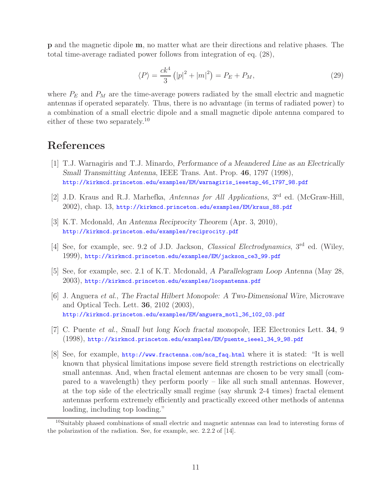**p** and the magnetic dipole **m**, no matter what are their directions and relative phases. The total time-average radiated power follows from integration of eq. (28),

$$
\langle P \rangle = \frac{ck^4}{3} (|p|^2 + |m|^2) = P_E + P_M,
$$
\n(29)

where  $P_E$  and  $P_M$  are the time-average powers radiated by the small electric and magnetic antennas if operated separately. Thus, there is no advantage (in terms of radiated power) to a combination of a small electric dipole and a small magnetic dipole antenna compared to either of these two separately.<sup>10</sup>

# **References**

- [1] T.J. Warnagiris and T.J. Minardo, *Performance of a Meandered Line as an Electrically Small Transmitting Antenna*, IEEE Trans. Ant. Prop. **46**, 1797 (1998), http://kirkmcd.princeton.edu/examples/EM/warnagiris\_ieeetap\_46\_1797\_98.pdf
- [2] J.D. Kraus and R.J. Marhefka, *Antennas for All Applications*, 3rd ed. (McGraw-Hill, 2002), chap. 13, http://kirkmcd.princeton.edu/examples/EM/kraus\_88.pdf
- [3] K.T. Mcdonald, *An Antenna Reciprocity Theorem* (Apr. 3, 2010), http://kirkmcd.princeton.edu/examples/reciprocity.pdf
- [4] See, for example, sec. 9.2 of J.D. Jackson, *Classical Electrodynamics*, 3rd ed. (Wiley, 1999), http://kirkmcd.princeton.edu/examples/EM/jackson\_ce3\_99.pdf
- [5] See, for example, sec. 2.1 of K.T. Mcdonald, *A Parallelogram Loop Antenna* (May 28, 2003), http://kirkmcd.princeton.edu/examples/loopantenna.pdf
- [6] J. Anguera *et al.*, *The Fractal Hilbert Monopole: A Two-Dimensional Wire*, Microwave and Optical Tech. Lett. **36**, 2102 (2003), http://kirkmcd.princeton.edu/examples/EM/anguera\_motl\_36\_102\_03.pdf
- [7] C. Puente *et al.*, *Small but long Koch fractal monopole*, IEE Electronics Lett. **34**, 9 (1998), http://kirkmcd.princeton.edu/examples/EM/puente\_ieeel\_34\_9\_98.pdf
- [8] See, for example, http://www.fractenna.com/nca\_faq.html where it is stated: "It is well known that physical limitations impose severe field strength restrictions on electrically small antennas. And, when fractal element antennas are chosen to be very small (compared to a wavelength) they perform poorly – like all such small antennas. However, at the top side of the electrically small regime (say shrunk 2-4 times) fractal element antennas perform extremely efficiently and practically exceed other methods of antenna loading, including top loading."

<sup>10</sup>Suitably phased combinations of small electric and magnetic antennas can lead to interesting forms of the polarization of the radiation. See, for example, sec. 2.2.2 of [14].